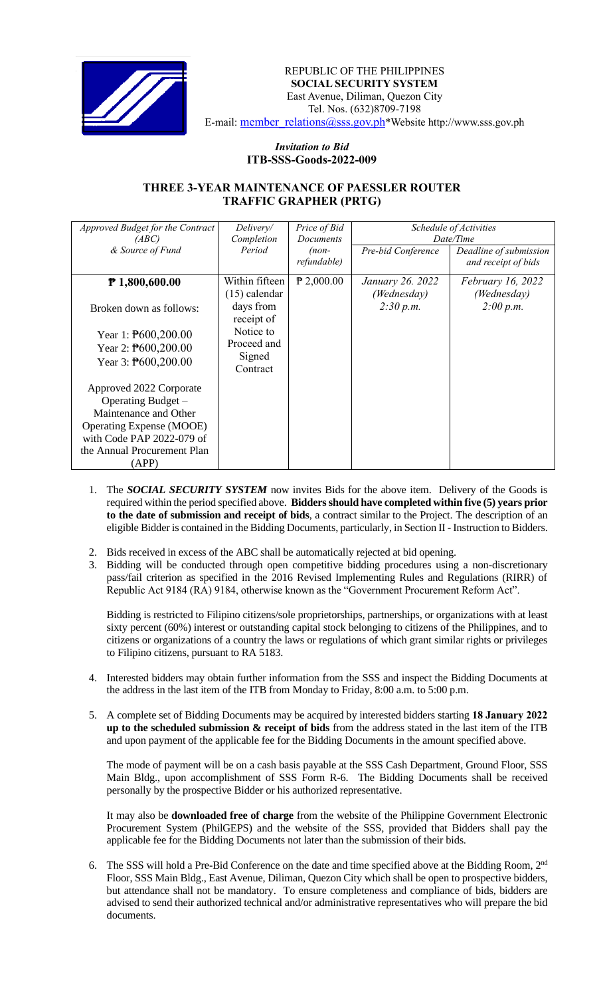

REPUBLIC OF THE PHILIPPINES  **SOCIAL SECURITY SYSTEM** East Avenue, Diliman, Quezon City Tel. Nos. (632)8709-7198 E-mail: member\_relations@sss.gov.ph\*Website http://www.sss.gov.ph

## *Invitation to Bid*  **ITB-SSS-Goods-2022-009**

## **THREE 3-YEAR MAINTENANCE OF PAESSLER ROUTER TRAFFIC GRAPHER (PRTG)**

| Approved Budget for the Contract<br>(ABC)                                                                                                                                      | Delivery/<br>Completion                                                                                        | Price of Bid<br><b>Documents</b> | Schedule of Activities<br>Date/Time          |                                               |
|--------------------------------------------------------------------------------------------------------------------------------------------------------------------------------|----------------------------------------------------------------------------------------------------------------|----------------------------------|----------------------------------------------|-----------------------------------------------|
| & Source of Fund                                                                                                                                                               | Period                                                                                                         | $(non-$<br>refundable)           | Pre-bid Conference                           | Deadline of submission<br>and receipt of bids |
| $P$ 1,800,600.00<br>Broken down as follows:<br>Year 1: $\text{P}600,200.00$<br>Year 2: $\text{P}600,200.00$<br>Year 3: $\text{P}600,200.00$                                    | Within fifteen<br>$(15)$ calendar<br>days from<br>receipt of<br>Notice to<br>Proceed and<br>Signed<br>Contract | $P$ 2,000.00                     | January 26. 2022<br>(Wednesday)<br>2:30 p.m. | February 16, 2022<br>(Wednesday)<br>2:00 p.m. |
| Approved 2022 Corporate<br>Operating Budget -<br>Maintenance and Other<br><b>Operating Expense (MOOE)</b><br>with Code PAP 2022-079 of<br>the Annual Procurement Plan<br>(APP) |                                                                                                                |                                  |                                              |                                               |

- 1. The *SOCIAL SECURITY SYSTEM* now invites Bids for the above item. Delivery of the Goods is required within the period specified above. **Bidders should have completed within five (5) years prior to the date of submission and receipt of bids**, a contract similar to the Project. The description of an eligible Bidder is contained in the Bidding Documents, particularly, in Section II - Instruction to Bidders.
- 2. Bids received in excess of the ABC shall be automatically rejected at bid opening.
- 3. Bidding will be conducted through open competitive bidding procedures using a non-discretionary pass/fail criterion as specified in the 2016 Revised Implementing Rules and Regulations (RIRR) of Republic Act 9184 (RA) 9184, otherwise known as the "Government Procurement Reform Act".

Bidding is restricted to Filipino citizens/sole proprietorships, partnerships, or organizations with at least sixty percent (60%) interest or outstanding capital stock belonging to citizens of the Philippines, and to citizens or organizations of a country the laws or regulations of which grant similar rights or privileges to Filipino citizens, pursuant to RA 5183.

- 4. Interested bidders may obtain further information from the SSS and inspect the Bidding Documents at the address in the last item of the ITB from Monday to Friday, 8:00 a.m. to 5:00 p.m.
- 5. A complete set of Bidding Documents may be acquired by interested bidders starting **18 January 2022 up to the scheduled submission & receipt of bids** from the address stated in the last item of the ITB and upon payment of the applicable fee for the Bidding Documents in the amount specified above.

The mode of payment will be on a cash basis payable at the SSS Cash Department, Ground Floor, SSS Main Bldg., upon accomplishment of SSS Form R-6. The Bidding Documents shall be received personally by the prospective Bidder or his authorized representative.

It may also be **downloaded free of charge** from the website of the Philippine Government Electronic Procurement System (PhilGEPS) and the website of the SSS*,* provided that Bidders shall pay the applicable fee for the Bidding Documents not later than the submission of their bids.

6. The SSS will hold a Pre-Bid Conference on the date and time specified above at the Bidding Room, 2<sup>nd</sup> Floor, SSS Main Bldg., East Avenue, Diliman, Quezon City which shall be open to prospective bidders, but attendance shall not be mandatory. To ensure completeness and compliance of bids, bidders are advised to send their authorized technical and/or administrative representatives who will prepare the bid documents.